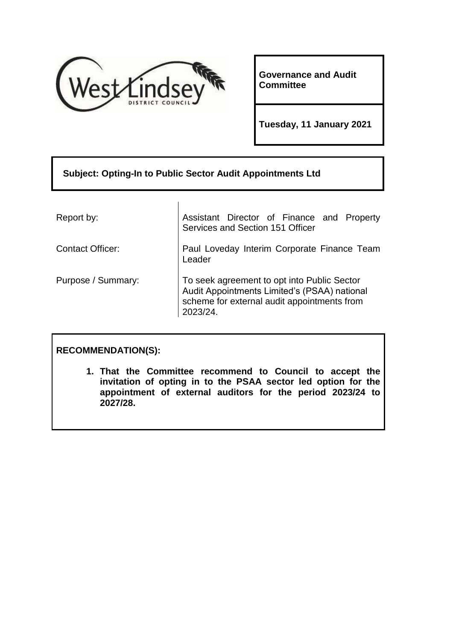

**Governance and Audit Committee**

**Tuesday, 11 January 2021**

# **Subject: Opting-In to Public Sector Audit Appointments Ltd**

Report by: Assistant Director of Finance and Property

Services and Section 151 Officer

Contact Officer: **Paul Loveday Interim Corporate Finance Team** Leader

Purpose / Summary: To seek agreement to opt into Public Sector Audit Appointments Limited's (PSAA) national scheme for external audit appointments from 2023/24.

# **RECOMMENDATION(S):**

**1. That the Committee recommend to Council to accept the invitation of opting in to the PSAA sector led option for the appointment of external auditors for the period 2023/24 to 2027/28.**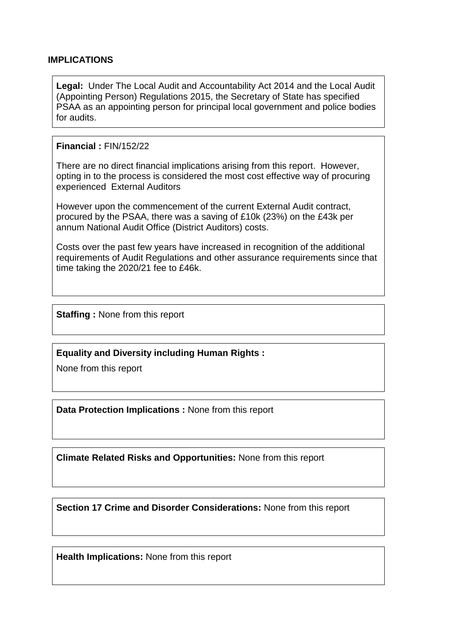#### **IMPLICATIONS**

**Legal:** Under The Local Audit and Accountability Act 2014 and the Local Audit (Appointing Person) Regulations 2015, the Secretary of State has specified PSAA as an appointing person for principal local government and police bodies for audits.

#### **Financial :** FIN/152/22

There are no direct financial implications arising from this report. However, opting in to the process is considered the most cost effective way of procuring experienced External Auditors

However upon the commencement of the current External Audit contract, procured by the PSAA, there was a saving of £10k (23%) on the £43k per annum National Audit Office (District Auditors) costs.

Costs over the past few years have increased in recognition of the additional requirements of Audit Regulations and other assurance requirements since that time taking the 2020/21 fee to £46k.

**Staffing :** None from this report

**Equality and Diversity including Human Rights :**

None from this report

**Data Protection Implications :** None from this report

**Climate Related Risks and Opportunities:** None from this report

**Section 17 Crime and Disorder Considerations:** None from this report

**Health Implications:** None from this report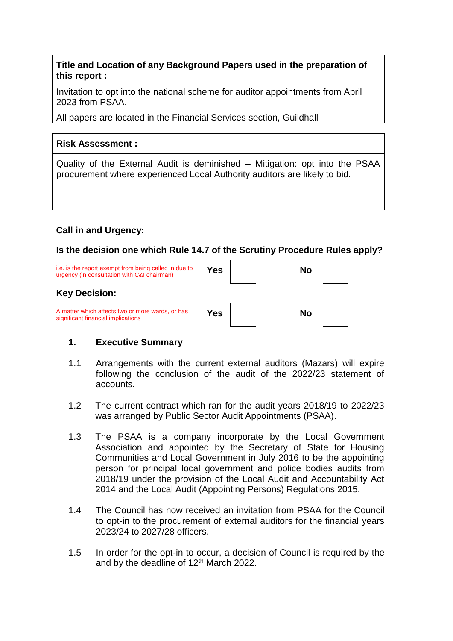**Title and Location of any Background Papers used in the preparation of this report :**

Invitation to opt into the national scheme for auditor appointments from April 2023 from PSAA.

All papers are located in the Financial Services section, Guildhall

## **Risk Assessment :**

Quality of the External Audit is deminished – Mitigation: opt into the PSAA procurement where experienced Local Authority auditors are likely to bid.

# **Call in and Urgency:**

## **Is the decision one which Rule 14.7 of the Scrutiny Procedure Rules apply?**

| i.e. is the report exempt from being called in due to<br>urgency (in consultation with C&I chairman) | Yes | No |  |
|------------------------------------------------------------------------------------------------------|-----|----|--|
| <b>Key Decision:</b>                                                                                 |     |    |  |
| A matter which affects two or more wards, or has<br>significant financial implications               | Yes | No |  |

# **1. Executive Summary**

- 1.1 Arrangements with the current external auditors (Mazars) will expire following the conclusion of the audit of the 2022/23 statement of accounts.
- 1.2 The current contract which ran for the audit years 2018/19 to 2022/23 was arranged by Public Sector Audit Appointments (PSAA).
- 1.3 The PSAA is a company incorporate by the Local Government Association and appointed by the Secretary of State for Housing Communities and Local Government in July 2016 to be the appointing person for principal local government and police bodies audits from 2018/19 under the provision of the Local Audit and Accountability Act 2014 and the Local Audit (Appointing Persons) Regulations 2015.
- 1.4 The Council has now received an invitation from PSAA for the Council to opt-in to the procurement of external auditors for the financial years 2023/24 to 2027/28 officers.
- 1.5 In order for the opt-in to occur, a decision of Council is required by the and by the deadline of 12<sup>th</sup> March 2022.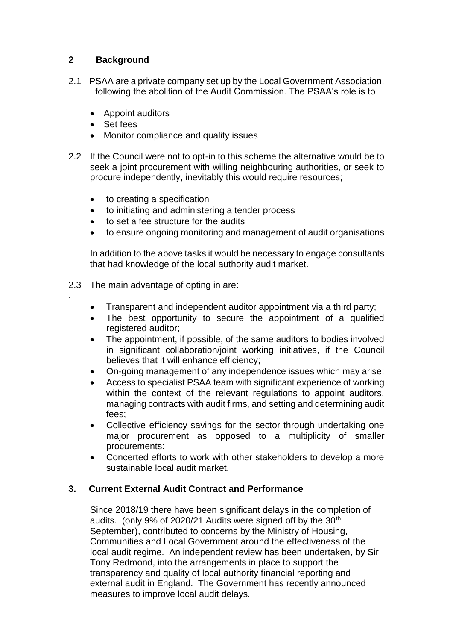# **2 Background**

- 2.1 PSAA are a private company set up by the Local Government Association, following the abolition of the Audit Commission. The PSAA's role is to
	- Appoint auditors
	- Set fees

.

- Monitor compliance and quality issues
- 2.2 If the Council were not to opt-in to this scheme the alternative would be to seek a joint procurement with willing neighbouring authorities, or seek to procure independently, inevitably this would require resources;
	- to creating a specification
	- to initiating and administering a tender process
	- to set a fee structure for the audits
	- to ensure ongoing monitoring and management of audit organisations

In addition to the above tasks it would be necessary to engage consultants that had knowledge of the local authority audit market.

- 2.3 The main advantage of opting in are:
	- Transparent and independent auditor appointment via a third party;
	- The best opportunity to secure the appointment of a qualified registered auditor;
	- The appointment, if possible, of the same auditors to bodies involved in significant collaboration/joint working initiatives, if the Council believes that it will enhance efficiency;
	- On-going management of any independence issues which may arise;
	- Access to specialist PSAA team with significant experience of working within the context of the relevant regulations to appoint auditors, managing contracts with audit firms, and setting and determining audit fees;
	- Collective efficiency savings for the sector through undertaking one major procurement as opposed to a multiplicity of smaller procurements:
	- Concerted efforts to work with other stakeholders to develop a more sustainable local audit market.

# **3. Current External Audit Contract and Performance**

Since 2018/19 there have been significant delays in the completion of audits. (only 9% of 2020/21 Audits were signed off by the 30<sup>th</sup> September), contributed to concerns by the Ministry of Housing, Communities and Local Government around the effectiveness of the local audit regime. An independent review has been undertaken, by Sir Tony Redmond, into the arrangements in place to support the transparency and quality of local authority financial reporting and external audit in England. The Government has recently announced measures to improve local audit delays.